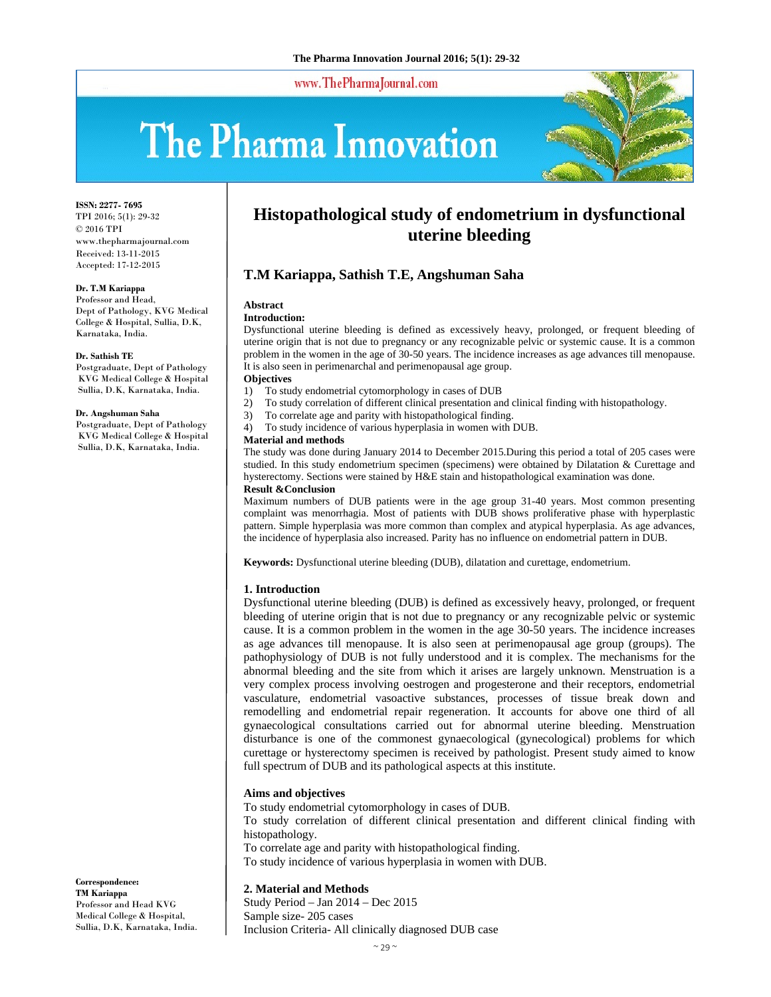www.ThePharmaJournal.com

# The Pharma Innovation



**ISSN: 2277- 7695** TPI 2016; 5(1): 29-32 © 2016 TPI www.thepharmajournal.com Received: 13-11-2015 Accepted: 17-12-2015

#### **Dr. T.M Kariappa**

Professor and Head, Dept of Pathology, KVG Medical College & Hospital, Sullia, D.K, Karnataka, India.

#### **Dr. Sathish TE**

Postgraduate, Dept of Pathology KVG Medical College & Hospital Sullia, D.K, Karnataka, India.

#### **Dr. Angshuman Saha**

Postgraduate, Dept of Pathology KVG Medical College & Hospital Sullia, D.K, Karnataka, India.

# **Histopathological study of endometrium in dysfunctional uterine bleeding**

### **T.M Kariappa, Sathish T.E, Angshuman Saha**

## **Abstract**

#### **Introduction:**

Dysfunctional uterine bleeding is defined as excessively heavy, prolonged, or frequent bleeding of uterine origin that is not due to pregnancy or any recognizable pelvic or systemic cause. It is a common problem in the women in the age of 30-50 years. The incidence increases as age advances till menopause. It is also seen in perimenarchal and perimenopausal age group.

#### **Objectives**

- 1) To study endometrial cytomorphology in cases of DUB
- 2) To study correlation of different clinical presentation and clinical finding with histopathology.
- 3) To correlate age and parity with histopathological finding.
- 4) To study incidence of various hyperplasia in women with DUB.

#### **Material and methods**

The study was done during January 2014 to December 2015.During this period a total of 205 cases were studied. In this study endometrium specimen (specimens) were obtained by Dilatation & Curettage and hysterectomy. Sections were stained by H&E stain and histopathological examination was done. **Result &Conclusion** 

Maximum numbers of DUB patients were in the age group 31-40 years. Most common presenting complaint was menorrhagia. Most of patients with DUB shows proliferative phase with hyperplastic pattern. Simple hyperplasia was more common than complex and atypical hyperplasia. As age advances, the incidence of hyperplasia also increased. Parity has no influence on endometrial pattern in DUB.

**Keywords:** Dysfunctional uterine bleeding (DUB), dilatation and curettage, endometrium.

#### **1. Introduction**

Dysfunctional uterine bleeding (DUB) is defined as excessively heavy, prolonged, or frequent bleeding of uterine origin that is not due to pregnancy or any recognizable pelvic or systemic cause. It is a common problem in the women in the age 30-50 years. The incidence increases as age advances till menopause. It is also seen at perimenopausal age group (groups). The pathophysiology of DUB is not fully understood and it is complex. The mechanisms for the abnormal bleeding and the site from which it arises are largely unknown. Menstruation is a very complex process involving oestrogen and progesterone and their receptors, endometrial vasculature, endometrial vasoactive substances, processes of tissue break down and remodelling and endometrial repair regeneration. It accounts for above one third of all gynaecological consultations carried out for abnormal uterine bleeding. Menstruation disturbance is one of the commonest gynaecological (gynecological) problems for which curettage or hysterectomy specimen is received by pathologist. Present study aimed to know full spectrum of DUB and its pathological aspects at this institute.

#### **Aims and objectives**

To study endometrial cytomorphology in cases of DUB.

To study correlation of different clinical presentation and different clinical finding with histopathology.

To correlate age and parity with histopathological finding.

To study incidence of various hyperplasia in women with DUB.

#### **2. Material and Methods**

Study Period – Jan 2014 – Dec 2015 Sample size- 205 cases Inclusion Criteria- All clinically diagnosed DUB case

**Correspondence: TM Kariappa**  Professor and Head KVG Medical College & Hospital, Sullia, D.K, Karnataka, India.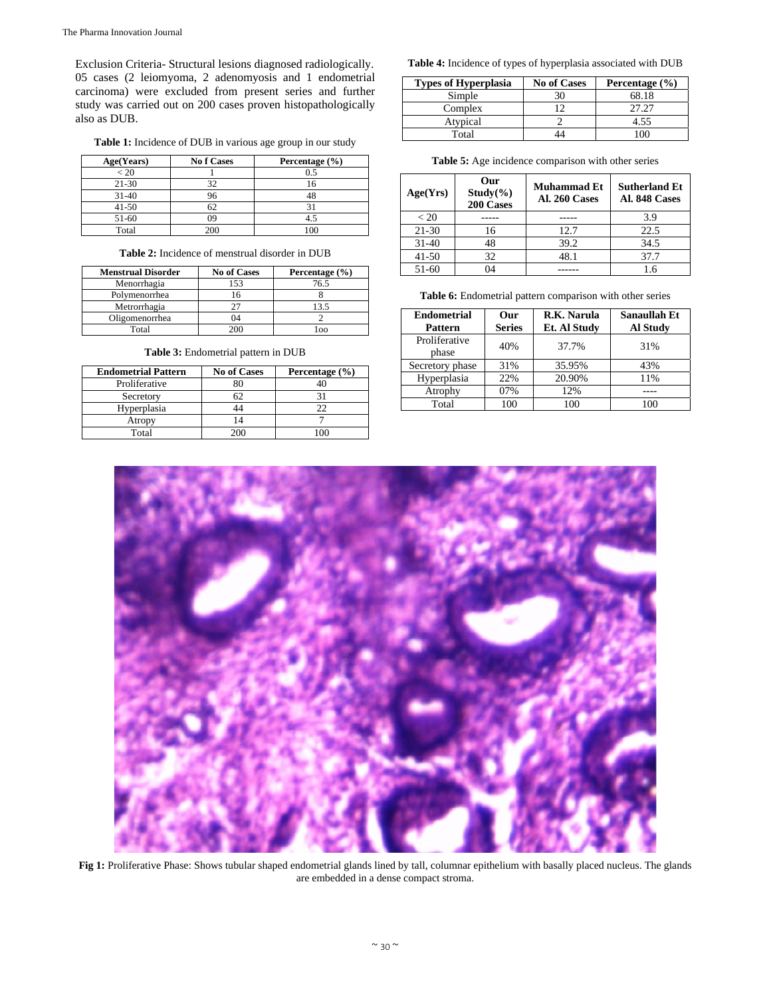Exclusion Criteria- Structural lesions diagnosed radiologically. 05 cases (2 leiomyoma, 2 adenomyosis and 1 endometrial carcinoma) were excluded from present series and further study was carried out on 200 cases proven histopathologically also as DUB.

**Table 1:** Incidence of DUB in various age group in our study

| Age(Years) | <b>No f Cases</b> | Percentage $(\% )$ |
|------------|-------------------|--------------------|
| < 20       |                   | 0.5                |
| $21 - 30$  | 32                | 16                 |
| $31 - 40$  | 96                |                    |
| $41 - 50$  | n /               |                    |
| 51-60      | 09                | 4.:                |
| Total      | 200               | 100                |

**Table 2:** Incidence of menstrual disorder in DUB

| <b>Menstrual Disorder</b> | <b>No of Cases</b> | Percentage $(\% )$ |
|---------------------------|--------------------|--------------------|
| Menorrhagia               | 153                | 76.5               |
| Polymenorrhea             |                    |                    |
| Metrorrhagia              |                    | 13.5               |
| Oligomenorrhea            | 04                 |                    |
| Total                     |                    |                    |

| <b>Endometrial Pattern</b> | <b>No of Cases</b> | Percentage $(\% )$ |
|----------------------------|--------------------|--------------------|
| Proliferative              |                    |                    |
| Secretory                  |                    |                    |
| Hyperplasia                |                    | つつ                 |
| Atropy                     |                    |                    |
| Total                      |                    | ۱M                 |

**Table 3:** Endometrial pattern in DUB

**Table 4:** Incidence of types of hyperplasia associated with DUB

| <b>Types of Hyperplasia</b> | <b>No of Cases</b> | Percentage $(\% )$ |
|-----------------------------|--------------------|--------------------|
| Simple                      | 30                 | 68.18              |
| Complex                     |                    | 27.27              |
| Atypical                    |                    | 4.55               |
| Total                       |                    |                    |

|  |  |  | <b>Table 5:</b> Age incidence comparison with other series |  |  |  |
|--|--|--|------------------------------------------------------------|--|--|--|
|--|--|--|------------------------------------------------------------|--|--|--|

| Age(Yrs)    | Our<br>$Study(\% )$<br>200 Cases | <b>Muhammad Et</b><br>Al. 260 Cases | <b>Sutherland Et</b><br>Al. 848 Cases |
|-------------|----------------------------------|-------------------------------------|---------------------------------------|
| ${}_{< 20}$ |                                  |                                     | 3.9                                   |
| $21 - 30$   | 16                               | 12.7                                | 22.5                                  |
| $31 - 40$   | 48                               | 39.2                                | 34.5                                  |
| $41 - 50$   | 32                               | 48.1                                | 37.7                                  |
| 51-60       | 04                               |                                     | 1.6                                   |

**Table 6:** Endometrial pattern comparison with other series

| <b>Endometrial</b><br><b>Pattern</b> | Our<br><b>Series</b> | R.K. Narula<br><b>Et. Al Study</b> | Sanaullah Et<br><b>Al Study</b> |
|--------------------------------------|----------------------|------------------------------------|---------------------------------|
| Proliferative<br>phase               | 40%                  | 37.7%                              | 31%                             |
| Secretory phase                      | 31%                  | 35.95%                             | 43%                             |
| Hyperplasia                          | 22%                  | 20.90%                             | 11%                             |
| Atrophy                              | 07%                  | 12%                                |                                 |
| Total                                | 100                  | 100                                | 100                             |



**Fig 1:** Proliferative Phase: Shows tubular shaped endometrial glands lined by tall, columnar epithelium with basally placed nucleus. The glands are embedded in a dense compact stroma.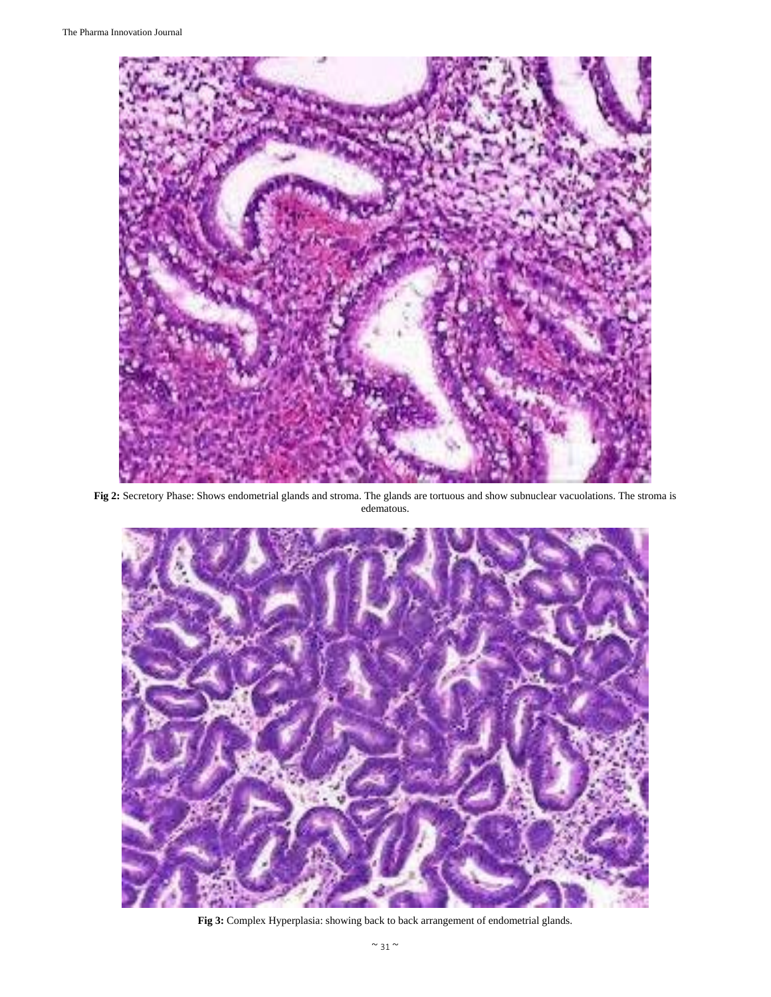

**Fig 2:** Secretory Phase: Shows endometrial glands and stroma. The glands are tortuous and show subnuclear vacuolations. The stroma is edematous.



**Fig 3:** Complex Hyperplasia: showing back to back arrangement of endometrial glands.